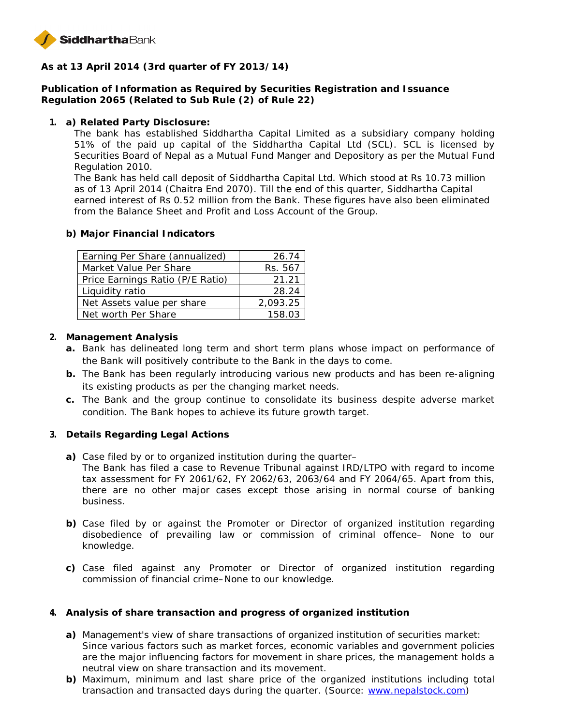

**As at 13 April 2014 (3rd quarter of FY 2013/14)**

**Publication of Information as Required by Securities Registration and Issuance Regulation 2065 (Related to Sub Rule (2) of Rule 22)**

**1. a) Related Party Disclosure:**

The bank has established Siddhartha Capital Limited as a subsidiary company holding 51% of the paid up capital of the Siddhartha Capital Ltd (SCL). SCL is licensed by Securities Board of Nepal as a Mutual Fund Manger and Depository as per the Mutual Fund Regulation 2010.

The Bank has held call deposit of Siddhartha Capital Ltd. Which stood at Rs 10.73 million as of 13 April 2014 (Chaitra End 2070). Till the end of this quarter, Siddhartha Capital earned interest of Rs 0.52 million from the Bank. These figures have also been eliminated from the Balance Sheet and Profit and Loss Account of the Group.

**b) Major Financial Indicators**

| Earning Per Share (annualized)   | 26.74    |
|----------------------------------|----------|
| Market Value Per Share           | Rs. 567  |
| Price Earnings Ratio (P/E Ratio) | 21.21    |
| Liquidity ratio                  | 28.24    |
| Net Assets value per share       | 2,093.25 |
| Net worth Per Share              | 158.03   |

- **2. Management Analysis**
	- **a.** Bank has delineated long term and short term plans whose impact on performance of the Bank will positively contribute to the Bank in the days to come.
	- **b.** The Bank has been regularly introducing various new products and has been re-aligning its existing products as per the changing market needs.
	- **c.** The Bank and the group continue to consolidate its business despite adverse market condition. The Bank hopes to achieve its future growth target.
- **3. Details Regarding Legal Actions**
	- **a)** Case filed by or to organized institution during the quarter–
		- The Bank has filed a case to Revenue Tribunal against IRD/LTPO with regard to income tax assessment for FY 2061/62, FY 2062/63, 2063/64 and FY 2064/65. Apart from this, there are no other major cases except those arising in normal course of banking business.
	- **b)** Case filed by or against the Promoter or Director of organized institution regarding disobedience of prevailing law or commission of criminal offence– None to our knowledge.
	- **c)** Case filed against any Promoter or Director of organized institution regarding commission of financial crime–None to our knowledge.
- **4. Analysis of share transaction and progress of organized institution**
	- **a)** Management's view of share transactions of organized institution of securities market: Since various factors such as market forces, economic variables and government policies are the major influencing factors for movement in share prices, the management holds a neutral view on share transaction and its movement.
	- **b)** Maximum, minimum and last share price of the organized institutions including total transaction and transacted days during the quarter. (Source: www.nepalstock.com)